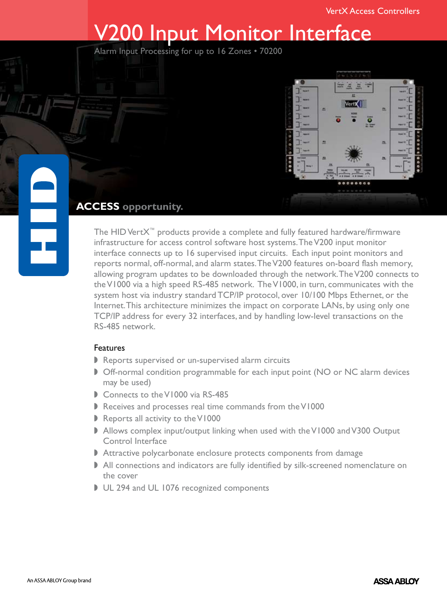# V200 Input Monitor Interface

Alarm Input Processing for up to 16 Zones • 70200



## **ACCESS opportunity.**

The HID VertX™ products provide a complete and fully featured hardware/firmware infrastructure for access control software host systems. The V200 input monitor interface connects up to 16 supervised input circuits. Each input point monitors and reports normal, off-normal, and alarm states. The V200 features on-board flash memory, allowing program updates to be downloaded through the network. The V200 connects to the V1000 via a high speed RS-485 network. The V1000, in turn, communicates with the system host via industry standard TCP/IP protocol, over 10/100 Mbps Ethernet, or the Internet. This architecture minimizes the impact on corporate LANs, by using only one TCP/IP address for every 32 interfaces, and by handling low-level transactions on the RS-485 network.

## Features

- $\blacktriangleright$  Reports supervised or un-supervised alarm circuits
- Off-normal condition programmable for each input point (NO or NC alarm devices may be used)
- Connects to the V1000 via RS-485
- Receives and processes real time commands from the V1000
- $\blacktriangleright$  Reports all activity to the V1000
- **Allows complex input/output linking when used with the V1000 and V300 Output** Control Interface
- **Attractive polycarbonate enclosure protects components from damage**
- All connections and indicators are fully identified by silk-screened nomenclature on the cover
- UL 294 and UL 1076 recognized components